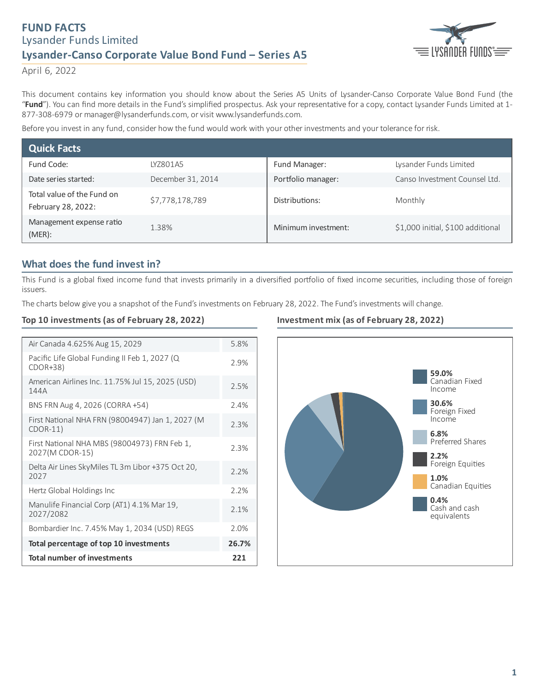# **FUND FACTS** Lysander Funds Limited **Lysander-Canso Corporate Value Bond Fund ‒ Series A5**



April 6, 2022

This document contains key information you should know about the Series A5 Units of Lysander-Canso Corporate Value Bond Fund (the "Fund"). You can find more details in the Fund's simplified prospectus. Ask your representative for a copy, contact Lysander Funds Limited at 1-877-308-6979 or manager@lysanderfunds.com, or visit www.lysanderfunds.com.

Before you invest in any fund, consider how the fund would work with your other investments and your tolerance for risk.

| <b>Quick Facts</b>                               |                   |                     |                                   |
|--------------------------------------------------|-------------------|---------------------|-----------------------------------|
| Fund Code:                                       | IY7801A5          | Fund Manager:       | Lysander Funds Limited            |
| Date series started:                             | December 31, 2014 | Portfolio manager:  | Canso Investment Counsel Ltd.     |
| Total value of the Fund on<br>February 28, 2022: | \$7,778,178,789   | Distributions:      | Monthly                           |
| Management expense ratio<br>$(MER)$ :            | 1.38%             | Minimum investment: | \$1,000 initial, \$100 additional |

## **What does the fund invest in?**

This Fund is a global fixed income fund that invests primarily in a diversified portfolio of fixed income securities, including those of foreign issuers.

The charts below give you a snapshot of the Fund's investments on February 28, 2022. The Fund's investments will change.

### **Top 10 investments (as of February 28, 2022)**

| Air Canada 4.625% Aug 15, 2029                                  | 5.8%  |
|-----------------------------------------------------------------|-------|
| Pacific Life Global Funding II Feb 1, 2027 (Q<br>CDOR+38)       | 2.9%  |
| American Airlines Inc. 11.75% Jul 15, 2025 (USD)<br>144A        | 2.5%  |
| BNS FRN Aug 4, 2026 (CORRA +54)                                 | 7.4%  |
| First National NHA FRN (98004947) Jan 1, 2027 (M<br>$CDOR-11)$  | 2.3%  |
| First National NHA MBS (98004973) FRN Feb 1,<br>2027(M CDOR-15) | 2.3%  |
| Delta Air Lines SkyMiles TL 3m Libor +375 Oct 20,<br>2027       | 2.2%  |
| Hertz Global Holdings Inc                                       | 2.2%  |
| Manulife Financial Corp (AT1) 4.1% Mar 19,<br>2027/2082         | 2.1%  |
| Bombardier Inc. 7.45% May 1, 2034 (USD) REGS                    | 2.0%  |
| Total percentage of top 10 investments                          | 26.7% |
| <b>Total number of investments</b>                              | 221   |

### **Investment mix (as of February 28, 2022)**

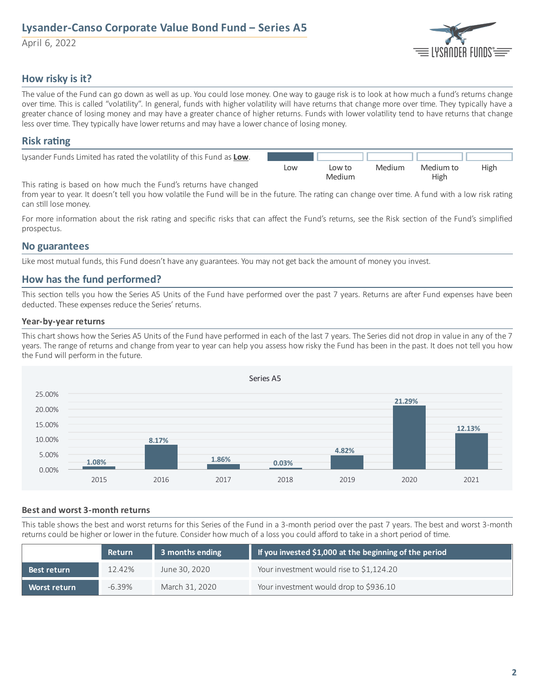# **Lysander-Canso Corporate Value Bond Fund ‒ Series A5**

April 6, 2022



## **How risky is it?**

The value of the Fund can go down as well as up. You could lose money. One way to gauge risk is to look at how much a fund's returns change over time. This is called "volatility". In general, funds with higher volatility will have returns that change more over time. They typically have a greater chance of losing money and may have a greater chance of higher returns. Funds with lower volatility tend to have returns that change less over time. They typically have lower returns and may have a lower chance of losing money.

### **Risk** rating

| Lysander Funds Limited has rated the volatility of this Fund as Low. |     |        |        |           |      |
|----------------------------------------------------------------------|-----|--------|--------|-----------|------|
|                                                                      | Low | Low to | Medium | Medium to | High |
|                                                                      |     | Medium |        | High      |      |

This rating is based on how much the Fund's returns have changed

from year to year. It doesn't tell you how volatile the Fund will be in the future. The rating can change over time. A fund with a low risk rating can still lose money.

For more information about the risk rating and specific risks that can affect the Fund's returns, see the Risk section of the Fund's simplified prospectus.

### **No guarantees**

Like most mutual funds, this Fund doesn't have any guarantees. You may not get back the amount of money you invest.

## **How has the fund performed?**

This section tells you how the Series A5 Units of the Fund have performed over the past 7 years. Returns are after Fund expenses have been deducted. These expenses reduce the Series' returns.

### **Year-by-year returns**

This chart shows how the Series A5 Units of the Fund have performed in each of the last 7 years. The Series did not drop in value in any of the 7 years. The range of returns and change from year to year can help you assess how risky the Fund has been in the past. It does not tell you how the Fund will perform in the future.



#### **Best and worst 3-month returns**

This table shows the best and worst returns for this Series of the Fund in a 3-month period over the past 7 years. The best and worst 3-month returns could be higher or lower in the future. Consider how much of a loss you could afford to take in a short period of time.

|                     | <b>Return</b> | 3 months ending | If you invested \$1,000 at the beginning of the period |
|---------------------|---------------|-----------------|--------------------------------------------------------|
| Best return         | $12.42\%$     | June 30, 2020   | Your investment would rise to \$1,124.20               |
| <b>Worst return</b> | $-6.39\%$     | March 31, 2020  | Your investment would drop to \$936.10                 |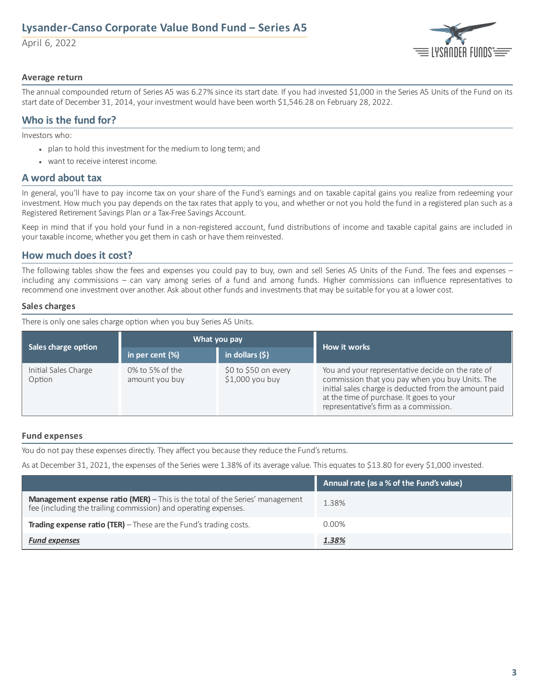# **Lysander-Canso Corporate Value Bond Fund ‒ Series A5**

April 6, 2022



### **Average return**

The annual compounded return of Series A5 was 6.27% since its start date. If you had invested \$1,000 in the Series A5 Units of the Fund on its start date of December 31, 2014, your investment would have been worth \$1,546.28 on February 28, 2022.

## **Who is the fund for?**

Investors who:

- plan to hold this investment for the medium to long term; and
- want to receive interest income.

### **A word about tax**

In general, you'll have to pay income tax on your share of the Fund's earnings and on taxable capital gains you realize from redeeming your investment. How much you pay depends on the tax rates that apply to you, and whether or not you hold the fund in a registered plan such as a Registered Retirement Savings Plan or a Tax-Free Savings Account.

Keep in mind that if you hold your fund in a non-registered account, fund distributions of income and taxable capital gains are included in your taxable income, whether you get them in cash or have them reinvested.

## **How much does it cost?**

The following tables show the fees and expenses you could pay to buy, own and sell Series A5 Units of the Fund. The fees and expenses – including any commissions – can vary among series of a fund and among funds. Higher commissions can influence representatives to recommend one investment over another. Ask about other funds and investments that may be suitable for you at a lower cost.

### **Sales charges**

There is only one sales charge option when you buy Series A5 Units.

|                                | What you pay                      |                                           | How it works                                                                                                                                                                                                                                        |  |
|--------------------------------|-----------------------------------|-------------------------------------------|-----------------------------------------------------------------------------------------------------------------------------------------------------------------------------------------------------------------------------------------------------|--|
| Sales charge option            | in per cent $(\%)$                | $\vert$ in dollars (\$)                   |                                                                                                                                                                                                                                                     |  |
| Initial Sales Charge<br>Option | 0% to 5% of the<br>amount you buy | $$0$ to $$50$ on every<br>\$1,000 you buy | You and your representative decide on the rate of<br>commission that you pay when you buy Units. The<br>initial sales charge is deducted from the amount paid<br>at the time of purchase. It goes to your<br>representative's firm as a commission. |  |

#### **Fund expenses**

You do not pay these expenses directly. They affect you because they reduce the Fund's returns.

As at December 31, 2021, the expenses of the Series were 1.38% of its average value. This equates to \$13.80 for every \$1,000 invested.

|                                                                                                                                                        | Annual rate (as a % of the Fund's value) |
|--------------------------------------------------------------------------------------------------------------------------------------------------------|------------------------------------------|
| <b>Management expense ratio (MER)</b> - This is the total of the Series' management<br>fee (including the trailing commission) and operating expenses. | 1.38%                                    |
| <b>Trading expense ratio (TER)</b> $-$ These are the Fund's trading costs.                                                                             | $0.00\%$                                 |
| <b>Fund expenses</b>                                                                                                                                   | 1.38%                                    |